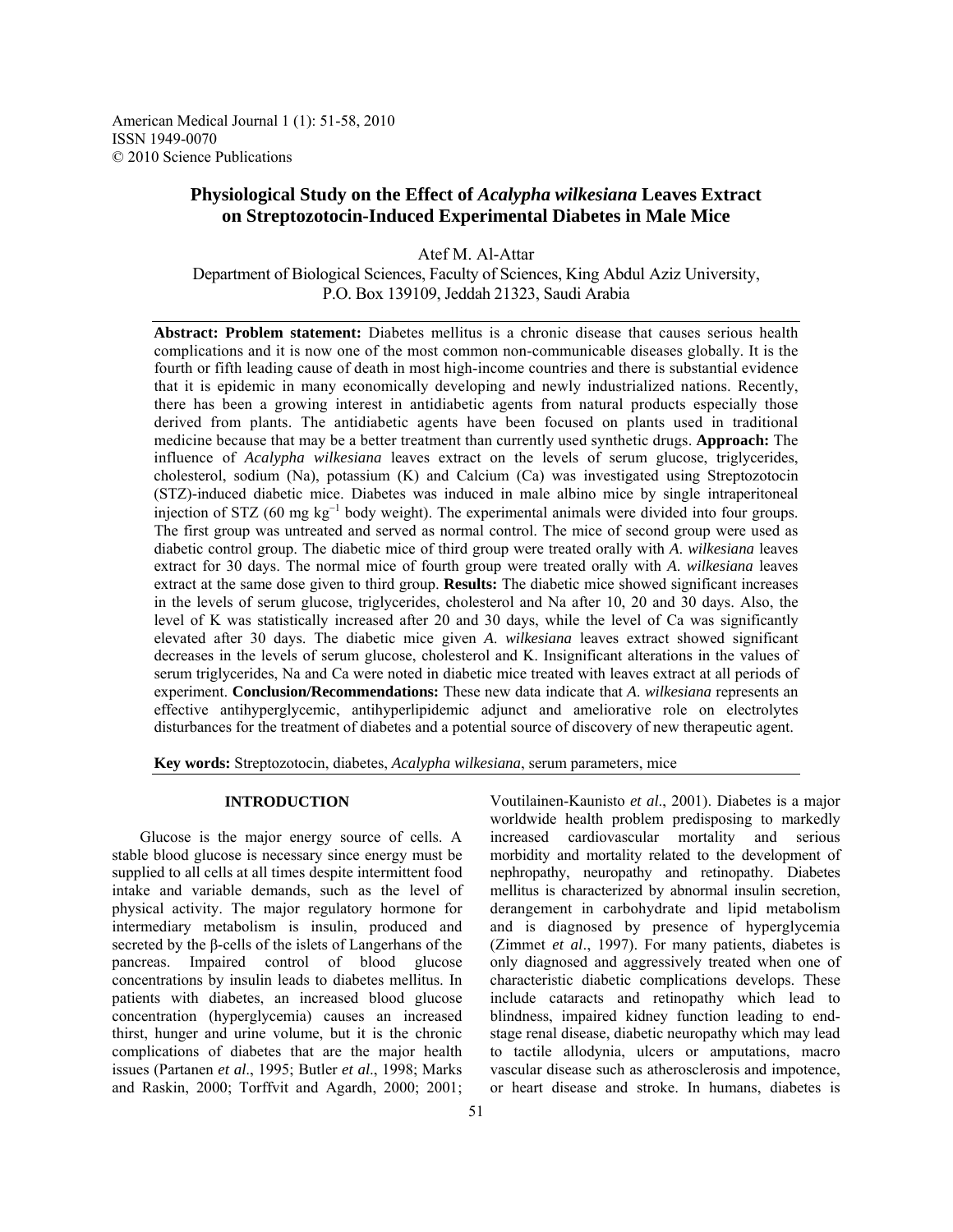American Medical Journal 1 (1): 51-58, 2010 ISSN 1949-0070 © 2010 Science Publications

# **Physiological Study on the Effect of** *Acalypha wilkesiana* **Leaves Extract on Streptozotocin-Induced Experimental Diabetes in Male Mice**

Atef M. Al-Attar Department of Biological Sciences, Faculty of Sciences, King Abdul Aziz University, P.O. Box 139109, Jeddah 21323, Saudi Arabia

**Abstract: Problem statement:** Diabetes mellitus is a chronic disease that causes serious health complications and it is now one of the most common non-communicable diseases globally. It is the fourth or fifth leading cause of death in most high-income countries and there is substantial evidence that it is epidemic in many economically developing and newly industrialized nations. Recently, there has been a growing interest in antidiabetic agents from natural products especially those derived from plants. The antidiabetic agents have been focused on plants used in traditional medicine because that may be a better treatment than currently used synthetic drugs. **Approach:** The influence of *Acalypha wilkesiana* leaves extract on the levels of serum glucose, triglycerides, cholesterol, sodium (Na), potassium (K) and Calcium (Ca) was investigated using Streptozotocin (STZ)-induced diabetic mice. Diabetes was induced in male albino mice by single intraperitoneal injection of STZ (60 mg kg<sup>-1</sup> body weight). The experimental animals were divided into four groups. The first group was untreated and served as normal control. The mice of second group were used as diabetic control group. The diabetic mice of third group were treated orally with *A*. *wilkesiana* leaves extract for 30 days. The normal mice of fourth group were treated orally with *A*. *wilkesiana* leaves extract at the same dose given to third group. **Results:** The diabetic mice showed significant increases in the levels of serum glucose, triglycerides, cholesterol and Na after 10, 20 and 30 days. Also, the level of K was statistically increased after 20 and 30 days, while the level of Ca was significantly elevated after 30 days. The diabetic mice given *A*. *wilkesiana* leaves extract showed significant decreases in the levels of serum glucose, cholesterol and K. Insignificant alterations in the values of serum triglycerides, Na and Ca were noted in diabetic mice treated with leaves extract at all periods of experiment. **Conclusion/Recommendations:** These new data indicate that *A*. *wilkesiana* represents an effective antihyperglycemic, antihyperlipidemic adjunct and ameliorative role on electrolytes disturbances for the treatment of diabetes and a potential source of discovery of new therapeutic agent.

**Key words:** Streptozotocin, diabetes, *Acalypha wilkesiana*, serum parameters, mice

## **INTRODUCTION**

 Glucose is the major energy source of cells. A stable blood glucose is necessary since energy must be supplied to all cells at all times despite intermittent food intake and variable demands, such as the level of physical activity. The major regulatory hormone for intermediary metabolism is insulin, produced and secreted by the β-cells of the islets of Langerhans of the pancreas. Impaired control of blood glucose concentrations by insulin leads to diabetes mellitus. In patients with diabetes, an increased blood glucose concentration (hyperglycemia) causes an increased thirst, hunger and urine volume, but it is the chronic complications of diabetes that are the major health issues (Partanen *et al*., 1995; Butler *et al*., 1998; Marks and Raskin, 2000; Torffvit and Agardh, 2000; 2001;

morbidity and mortality related to the development of nephropathy, neuropathy and retinopathy. Diabetes mellitus is characterized by abnormal insulin secretion, derangement in carbohydrate and lipid metabolism and is diagnosed by presence of hyperglycemia (Zimmet *et al*., 1997). For many patients, diabetes is only diagnosed and aggressively treated when one of characteristic diabetic complications develops. These include cataracts and retinopathy which lead to blindness, impaired kidney function leading to endstage renal disease, diabetic neuropathy which may lead to tactile allodynia, ulcers or amputations, macro vascular disease such as atherosclerosis and impotence, or heart disease and stroke. In humans, diabetes is

Voutilainen-Kaunisto *et al*., 2001). Diabetes is a major worldwide health problem predisposing to markedly increased cardiovascular mortality and serious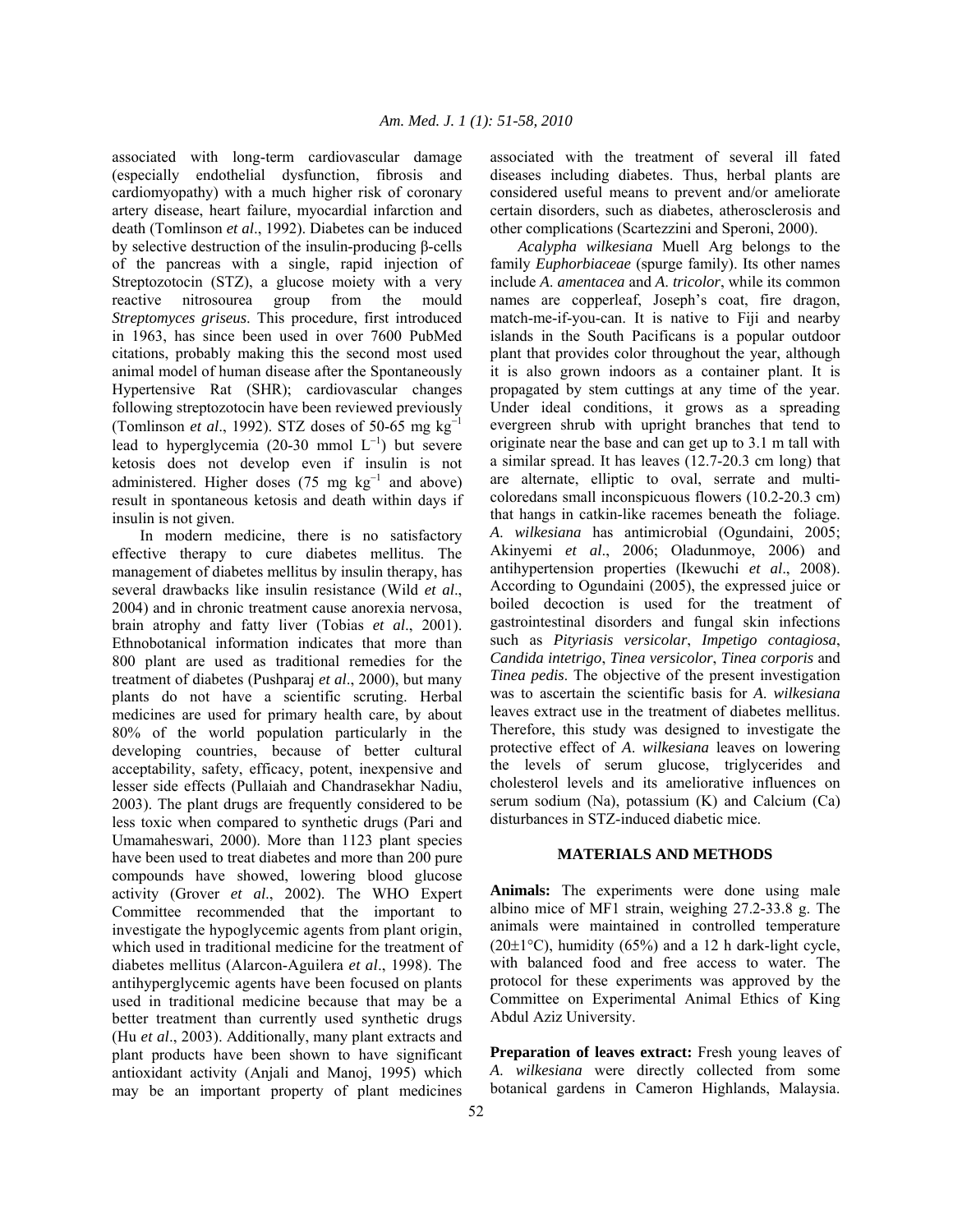associated with long-term cardiovascular damage (especially endothelial dysfunction, fibrosis and cardiomyopathy) with a much higher risk of coronary artery disease, heart failure, myocardial infarction and death (Tomlinson *et al*., 1992). Diabetes can be induced by selective destruction of the insulin-producing β-cells of the pancreas with a single, rapid injection of Streptozotocin (STZ), a glucose moiety with a very reactive nitrosourea group from the mould *Streptomyces griseus*. This procedure, first introduced in 1963, has since been used in over 7600 PubMed citations, probably making this the second most used animal model of human disease after the Spontaneously Hypertensive Rat (SHR); cardiovascular changes following streptozotocin have been reviewed previously (Tomlinson *et al*., 1992). STZ doses of 50-65 mg kg<sup>−</sup><sup>1</sup> lead to hyperglycemia (20-30 mmol  $L^{-1}$ ) but severe ketosis does not develop even if insulin is not administered. Higher doses (75 mg  $kg^{-1}$  and above) result in spontaneous ketosis and death within days if insulin is not given.

 In modern medicine, there is no satisfactory effective therapy to cure diabetes mellitus. The management of diabetes mellitus by insulin therapy, has several drawbacks like insulin resistance (Wild *et al*., 2004) and in chronic treatment cause anorexia nervosa, brain atrophy and fatty liver (Tobias *et al*., 2001). Ethnobotanical information indicates that more than 800 plant are used as traditional remedies for the treatment of diabetes (Pushparaj *et al*., 2000), but many plants do not have a scientific scruting. Herbal medicines are used for primary health care, by about 80% of the world population particularly in the developing countries, because of better cultural acceptability, safety, efficacy, potent, inexpensive and lesser side effects (Pullaiah and Chandrasekhar Nadiu, 2003). The plant drugs are frequently considered to be less toxic when compared to synthetic drugs (Pari and Umamaheswari, 2000). More than 1123 plant species have been used to treat diabetes and more than 200 pure compounds have showed, lowering blood glucose activity (Grover *et al*., 2002). The WHO Expert Committee recommended that the important to investigate the hypoglycemic agents from plant origin, which used in traditional medicine for the treatment of diabetes mellitus (Alarcon-Aguilera *et al*., 1998). The antihyperglycemic agents have been focused on plants used in traditional medicine because that may be a better treatment than currently used synthetic drugs (Hu *et al*., 2003). Additionally, many plant extracts and plant products have been shown to have significant antioxidant activity (Anjali and Manoj, 1995) which may be an important property of plant medicines

associated with the treatment of several ill fated diseases including diabetes. Thus, herbal plants are considered useful means to prevent and/or ameliorate certain disorders, such as diabetes, atherosclerosis and other complications (Scartezzini and Speroni, 2000).

 *Acalypha wilkesiana* Muell Arg belongs to the family *Euphorbiaceae* (spurge family). Its other names include *A*. *amentacea* and *A*. *tricolor*, while its common names are copperleaf, Joseph's coat, fire dragon, match-me-if-you-can. It is native to Fiji and nearby islands in the South Pacificans is a popular outdoor plant that provides color throughout the year, although it is also grown indoors as a container plant. It is propagated by stem cuttings at any time of the year. Under ideal conditions, it grows as a spreading evergreen shrub with upright branches that tend to originate near the base and can get up to 3.1 m tall with a similar spread. It has leaves (12.7-20.3 cm long) that are alternate, elliptic to oval, serrate and multicoloredans small inconspicuous flowers (10.2-20.3 cm) that hangs in catkin-like racemes beneath the foliage. *A*. *wilkesiana* has antimicrobial (Ogundaini, 2005; Akinyemi *et al*., 2006; Oladunmoye, 2006) and antihypertension properties (Ikewuchi *et al*., 2008). According to Ogundaini (2005), the expressed juice or boiled decoction is used for the treatment of gastrointestinal disorders and fungal skin infections such as *Pityriasis versicolar*, *Impetigo contagiosa*, *Candida intetrigo*, *Tinea versicolor*, *Tinea corporis* and *Tinea pedis*. The objective of the present investigation was to ascertain the scientific basis for *A*. *wilkesiana* leaves extract use in the treatment of diabetes mellitus. Therefore, this study was designed to investigate the protective effect of *A*. *wilkesiana* leaves on lowering the levels of serum glucose, triglycerides and cholesterol levels and its ameliorative influences on serum sodium (Na), potassium (K) and Calcium (Ca) disturbances in STZ-induced diabetic mice.

## **MATERIALS AND METHODS**

**Animals:** The experiments were done using male albino mice of MF1 strain, weighing 27.2-33.8 g. The animals were maintained in controlled temperature  $(20\pm1\degree C)$ , humidity (65%) and a 12 h dark-light cycle, with balanced food and free access to water. The protocol for these experiments was approved by the Committee on Experimental Animal Ethics of King Abdul Aziz University.

**Preparation of leaves extract:** Fresh young leaves of *A*. *wilkesiana* were directly collected from some botanical gardens in Cameron Highlands, Malaysia.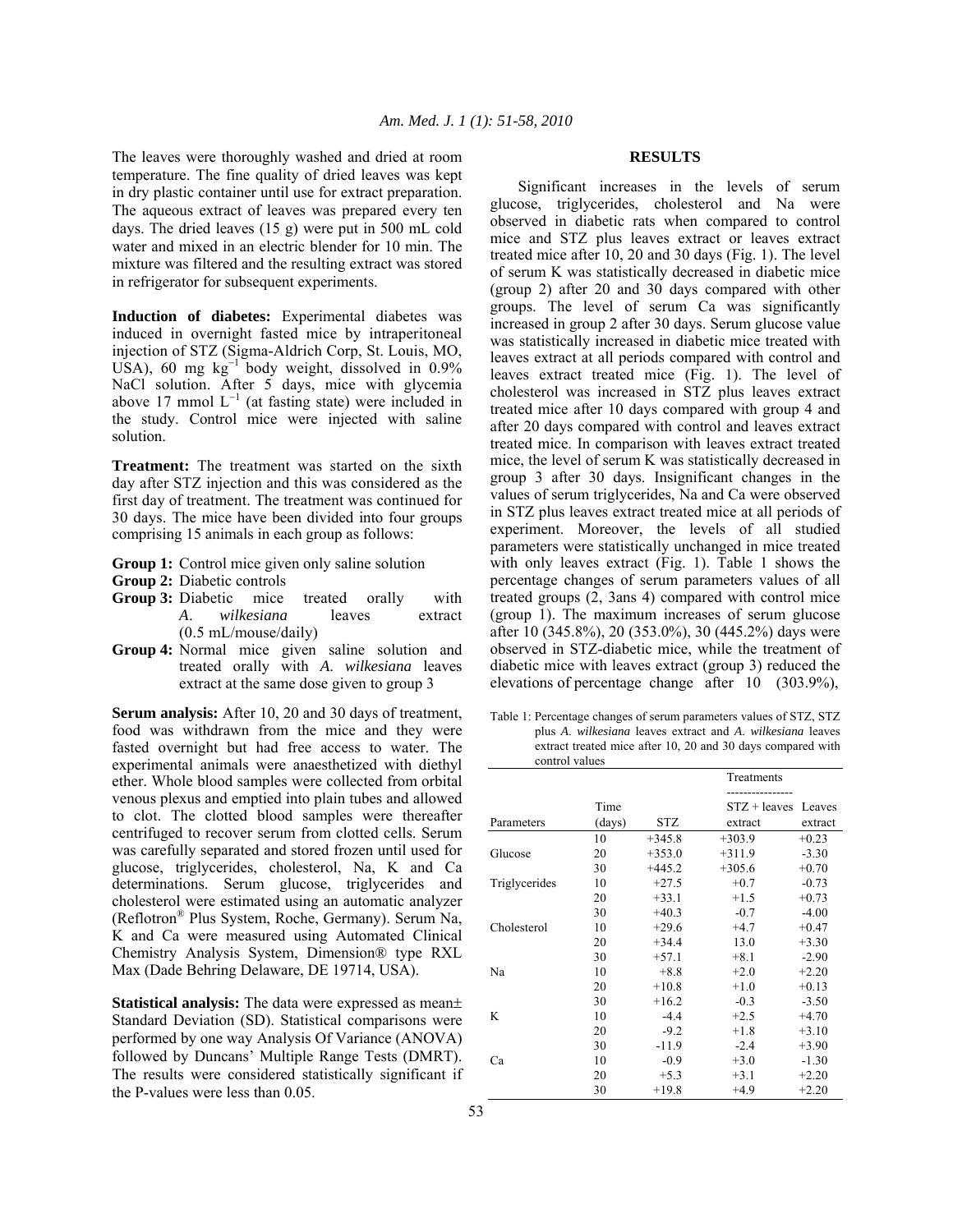The leaves were thoroughly washed and dried at room temperature. The fine quality of dried leaves was kept in dry plastic container until use for extract preparation. The aqueous extract of leaves was prepared every ten days. The dried leaves (15 g) were put in 500 mL cold water and mixed in an electric blender for 10 min. The mixture was filtered and the resulting extract was stored in refrigerator for subsequent experiments.

**Induction of diabetes:** Experimental diabetes was induced in overnight fasted mice by intraperitoneal injection of STZ (Sigma-Aldrich Corp, St. Louis, MO, USA), 60 mg kg<sup>-1</sup> body weight, dissolved in 0.9% NaCl solution. After 5 days, mice with glycemia above 17 mmol  $L^{-1}$  (at fasting state) were included in the study. Control mice were injected with saline solution.

**Treatment:** The treatment was started on the sixth day after STZ injection and this was considered as the first day of treatment. The treatment was continued for 30 days. The mice have been divided into four groups comprising 15 animals in each group as follows:

- Group 1: Control mice given only saline solution
- **Group 2:** Diabetic controls
- Group 3: Diabetic mice treated orally with *A*. *wilkesiana* leaves extract (0.5 mL/mouse/daily)
- **Group 4:** Normal mice given saline solution and treated orally with *A*. *wilkesiana* leaves extract at the same dose given to group 3

**Serum analysis:** After 10, 20 and 30 days of treatment, food was withdrawn from the mice and they were fasted overnight but had free access to water. The experimental animals were anaesthetized with diethyl ether. Whole blood samples were collected from orbital venous plexus and emptied into plain tubes and allowed to clot. The clotted blood samples were thereafter centrifuged to recover serum from clotted cells. Serum was carefully separated and stored frozen until used for glucose, triglycerides, cholesterol, Na, K and Ca determinations. Serum glucose, triglycerides and cholesterol were estimated using an automatic analyzer (Reflotron® Plus System, Roche, Germany). Serum Na, K and Ca were measured using Automated Clinical Chemistry Analysis System, Dimension® type RXL Max (Dade Behring Delaware, DE 19714, USA).

**Statistical analysis:** The data were expressed as mean± Standard Deviation (SD). Statistical comparisons were performed by one way Analysis Of Variance (ANOVA) followed by Duncans' Multiple Range Tests (DMRT). The results were considered statistically significant if the P-values were less than 0.05.

#### **RESULTS**

 Significant increases in the levels of serum glucose, triglycerides, cholesterol and Na were observed in diabetic rats when compared to control mice and STZ plus leaves extract or leaves extract treated mice after 10, 20 and 30 days (Fig. 1). The level of serum K was statistically decreased in diabetic mice (group 2) after 20 and 30 days compared with other groups. The level of serum Ca was significantly increased in group 2 after 30 days. Serum glucose value was statistically increased in diabetic mice treated with leaves extract at all periods compared with control and leaves extract treated mice (Fig. 1). The level of cholesterol was increased in STZ plus leaves extract treated mice after 10 days compared with group 4 and after 20 days compared with control and leaves extract treated mice. In comparison with leaves extract treated mice, the level of serum K was statistically decreased in group 3 after 30 days. Insignificant changes in the values of serum triglycerides, Na and Ca were observed in STZ plus leaves extract treated mice at all periods of experiment. Moreover, the levels of all studied parameters were statistically unchanged in mice treated with only leaves extract (Fig. 1). Table 1 shows the percentage changes of serum parameters values of all treated groups (2, 3ans 4) compared with control mice (group 1). The maximum increases of serum glucose after 10 (345.8%), 20 (353.0%), 30 (445.2%) days were observed in STZ-diabetic mice, while the treatment of diabetic mice with leaves extract (group 3) reduced the elevations of percentage change after 10 (303.9%),

Table 1: Percentage changes of serum parameters values of STZ, STZ plus *A*. *wilkesiana* leaves extract and *A*. *wilkesiana* leaves extract treated mice after 10, 20 and 30 days compared with control values

|               |        |          | Treatments     |         |
|---------------|--------|----------|----------------|---------|
|               |        |          |                |         |
|               | Time   |          | $STZ + leaves$ | Leaves  |
| Parameters    | (days) | STZ      | extract        | extract |
|               | 10     | $+345.8$ | $+303.9$       | $+0.23$ |
| Glucose       | 20     | $+353.0$ | $+311.9$       | $-3.30$ |
|               | 30     | $+445.2$ | $+305.6$       | $+0.70$ |
| Triglycerides | 10     | $+27.5$  | $+0.7$         | $-0.73$ |
|               | 20     | $+33.1$  | $+1.5$         | $+0.73$ |
|               | 30     | $+40.3$  | $-0.7$         | $-4.00$ |
| Cholesterol   | 10     | $+29.6$  | $+4.7$         | $+0.47$ |
|               | 20     | $+34.4$  | 13.0           | $+3.30$ |
|               | 30     | $+57.1$  | $+8.1$         | $-2.90$ |
| Na            | 10     | $+8.8$   | $+2.0$         | $+2.20$ |
|               | 20     | $+10.8$  | $+1.0$         | $+0.13$ |
|               | 30     | $+16.2$  | $-0.3$         | $-3.50$ |
| K             | 10     | $-4.4$   | $+2.5$         | $+4.70$ |
|               | 20     | $-9.2$   | $+1.8$         | $+3.10$ |
|               | 30     | $-11.9$  | $-2.4$         | $+3.90$ |
| Ca            | 10     | $-0.9$   | $+3.0$         | $-1.30$ |
|               | 20     | $+5.3$   | $+3.1$         | $+2.20$ |
|               | 30     | $+19.8$  | $+4.9$         | $+2.20$ |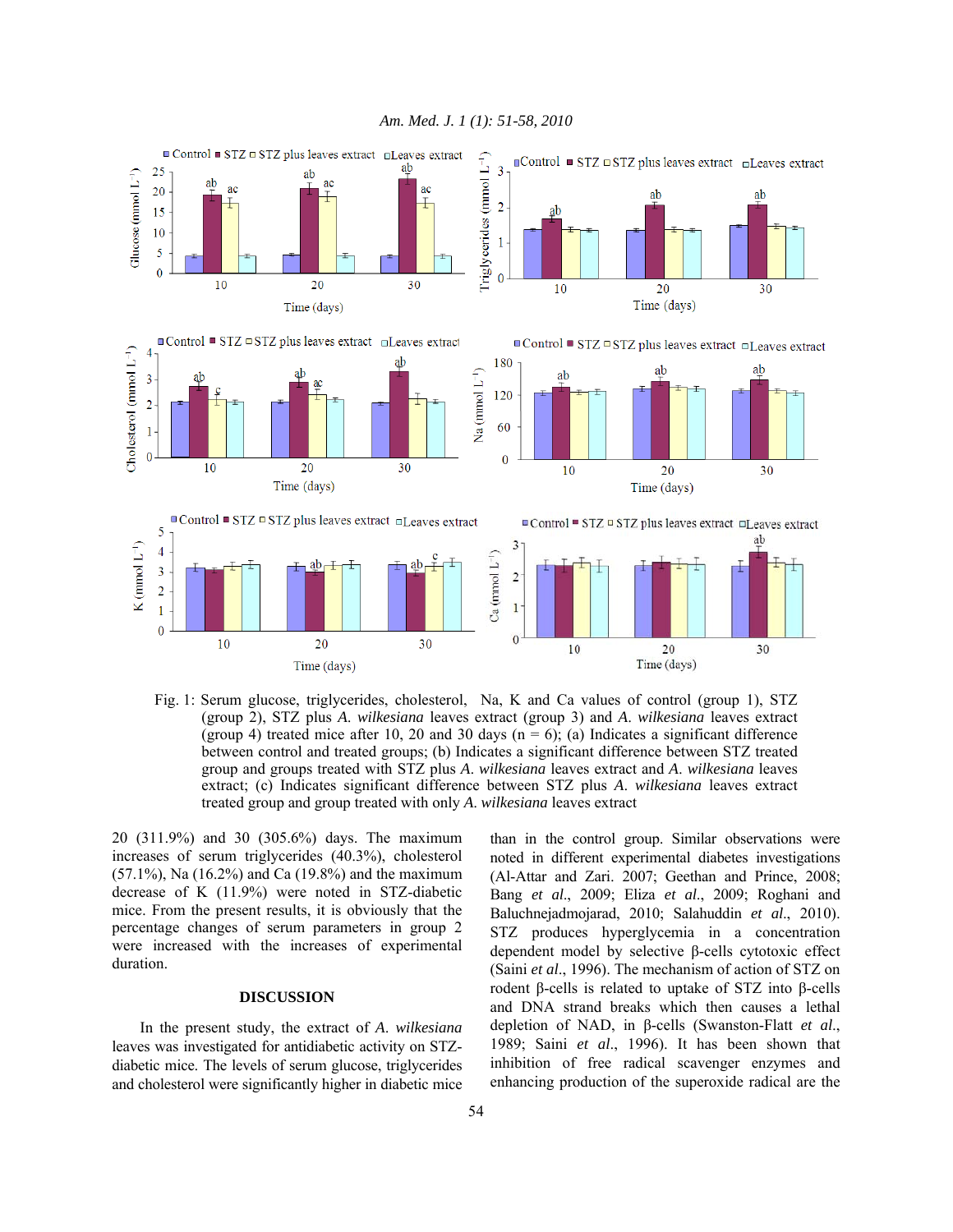

Fig. 1: Serum glucose, triglycerides, cholesterol, Na, K and Ca values of control (group 1), STZ (group 2), STZ plus *A*. *wilkesiana* leaves extract (group 3) and *A*. *wilkesiana* leaves extract (group 4) treated mice after 10, 20 and 30 days ( $n = 6$ ); (a) Indicates a significant difference between control and treated groups; (b) Indicates a significant difference between STZ treated group and groups treated with STZ plus *A*. *wilkesiana* leaves extract and *A*. *wilkesiana* leaves extract; (c) Indicates significant difference between STZ plus *A*. *wilkesiana* leaves extract treated group and group treated with only *A*. *wilkesiana* leaves extract

20 (311.9%) and 30 (305.6%) days. The maximum increases of serum triglycerides (40.3%), cholesterol (57.1%), Na (16.2%) and Ca (19.8%) and the maximum decrease of K (11.9%) were noted in STZ-diabetic mice. From the present results, it is obviously that the percentage changes of serum parameters in group 2 were increased with the increases of experimental duration.

## **DISCUSSION**

 In the present study, the extract of *A*. *wilkesiana* leaves was investigated for antidiabetic activity on STZdiabetic mice. The levels of serum glucose, triglycerides and cholesterol were significantly higher in diabetic mice than in the control group. Similar observations were noted in different experimental diabetes investigations (Al-Attar and Zari. 2007; Geethan and Prince, 2008; Bang *et al*., 2009; Eliza *et al*., 2009; Roghani and Baluchnejadmojarad, 2010; Salahuddin *et al*., 2010). STZ produces hyperglycemia in a concentration dependent model by selective β-cells cytotoxic effect (Saini *et al*., 1996). The mechanism of action of STZ on rodent β-cells is related to uptake of STZ into β-cells and DNA strand breaks which then causes a lethal depletion of NAD, in β-cells (Swanston-Flatt *et al*., 1989; Saini *et al*., 1996). It has been shown that inhibition of free radical scavenger enzymes and enhancing production of the superoxide radical are the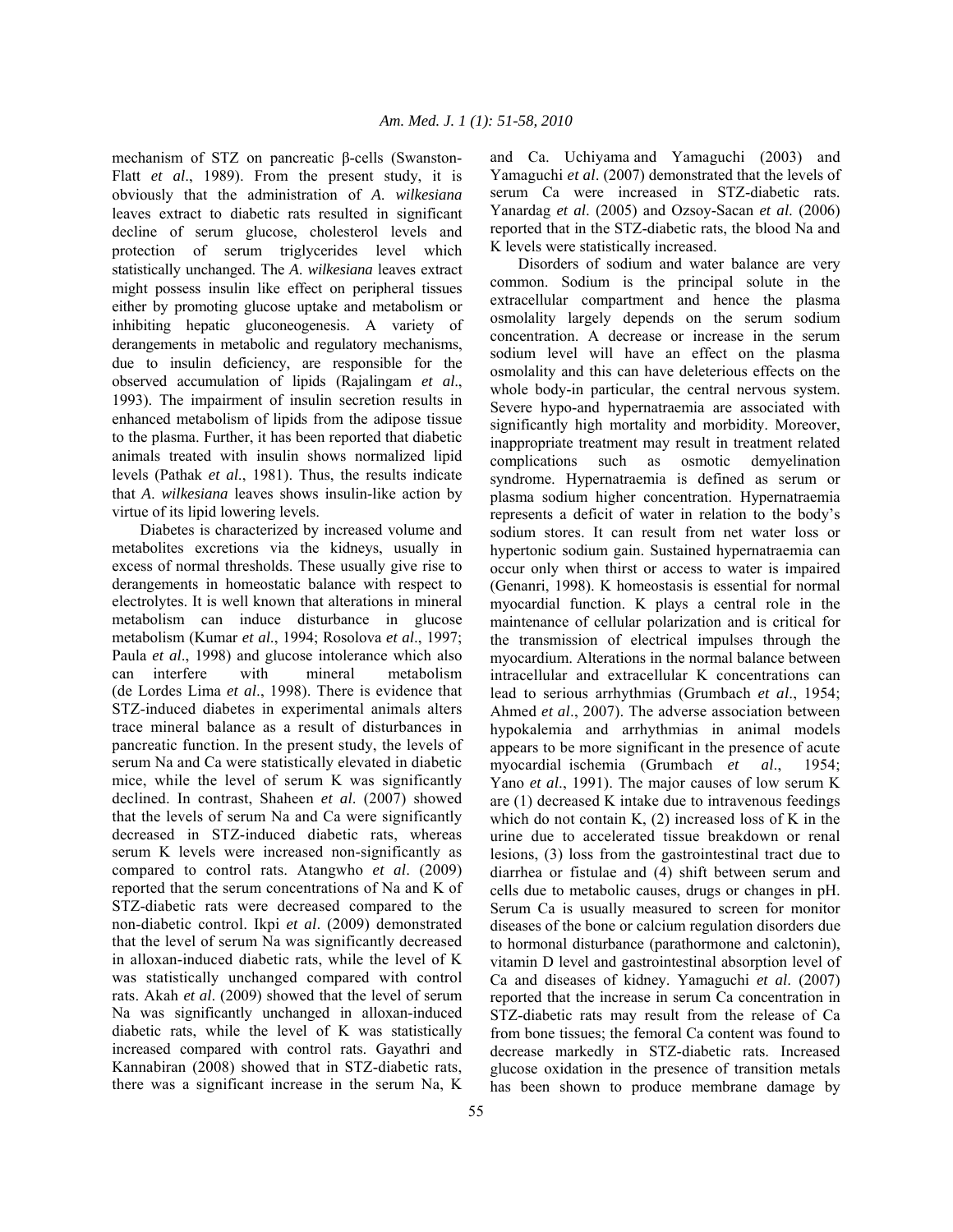mechanism of STZ on pancreatic β-cells (Swanston-Flatt *et al*., 1989). From the present study, it is obviously that the administration of *A*. *wilkesiana* leaves extract to diabetic rats resulted in significant decline of serum glucose, cholesterol levels and protection of serum triglycerides level which statistically unchanged. The *A*. *wilkesiana* leaves extract might possess insulin like effect on peripheral tissues either by promoting glucose uptake and metabolism or inhibiting hepatic gluconeogenesis. A variety of derangements in metabolic and regulatory mechanisms, due to insulin deficiency, are responsible for the observed accumulation of lipids (Rajalingam *et al*., 1993). The impairment of insulin secretion results in enhanced metabolism of lipids from the adipose tissue to the plasma. Further, it has been reported that diabetic animals treated with insulin shows normalized lipid levels (Pathak *et al*., 1981). Thus, the results indicate that *A*. *wilkesiana* leaves shows insulin-like action by virtue of its lipid lowering levels.

 Diabetes is characterized by increased volume and metabolites excretions via the kidneys, usually in excess of normal thresholds. These usually give rise to derangements in homeostatic balance with respect to electrolytes. It is well known that alterations in mineral metabolism can induce disturbance in glucose metabolism (Kumar *et al*., 1994; Rosolova *et al*., 1997; Paula *et al*., 1998) and glucose intolerance which also can interfere with mineral metabolism (de Lordes Lima *et al*., 1998). There is evidence that STZ-induced diabetes in experimental animals alters trace mineral balance as a result of disturbances in pancreatic function. In the present study, the levels of serum Na and Ca were statistically elevated in diabetic mice, while the level of serum K was significantly declined. In contrast, Shaheen *et al*. (2007) showed that the levels of serum Na and Ca were significantly decreased in STZ-induced diabetic rats, whereas serum K levels were increased non-significantly as compared to control rats. Atangwho *et al*. (2009) reported that the serum concentrations of Na and K of STZ-diabetic rats were decreased compared to the non-diabetic control. Ikpi *et al*. (2009) demonstrated that the level of serum Na was significantly decreased in alloxan-induced diabetic rats, while the level of K was statistically unchanged compared with control rats. Akah *et al*. (2009) showed that the level of serum Na was significantly unchanged in alloxan-induced diabetic rats, while the level of K was statistically increased compared with control rats. Gayathri and Kannabiran (2008) showed that in STZ-diabetic rats, there was a significant increase in the serum Na, K

and Ca. Uchiyama and Yamaguchi (2003) and Yamaguchi *et al*. (2007) demonstrated that the levels of serum Ca were increased in STZ-diabetic rats. Yanardag *et al*. (2005) and Ozsoy-Sacan *et al*. (2006) reported that in the STZ-diabetic rats, the blood Na and K levels were statistically increased.

 Disorders of sodium and water balance are very common. Sodium is the principal solute in the extracellular compartment and hence the plasma osmolality largely depends on the serum sodium concentration. A decrease or increase in the serum sodium level will have an effect on the plasma osmolality and this can have deleterious effects on the whole body-in particular, the central nervous system. Severe hypo-and hypernatraemia are associated with significantly high mortality and morbidity. Moreover, inappropriate treatment may result in treatment related complications such as osmotic demyelination syndrome. Hypernatraemia is defined as serum or plasma sodium higher concentration. Hypernatraemia represents a deficit of water in relation to the body's sodium stores. It can result from net water loss or hypertonic sodium gain. Sustained hypernatraemia can occur only when thirst or access to water is impaired (Genanri, 1998). K homeostasis is essential for normal myocardial function. K plays a central role in the maintenance of cellular polarization and is critical for the transmission of electrical impulses through the myocardium. Alterations in the normal balance between intracellular and extracellular K concentrations can lead to serious arrhythmias (Grumbach *et al*., 1954; Ahmed *et al*., 2007). The adverse association between hypokalemia and arrhythmias in animal models appears to be more significant in the presence of acute myocardial ischemia (Grumbach *et al*., 1954; Yano *et al*., 1991). The major causes of low serum K are (1) decreased K intake due to intravenous feedings which do not contain K, (2) increased loss of K in the urine due to accelerated tissue breakdown or renal lesions, (3) loss from the gastrointestinal tract due to diarrhea or fistulae and (4) shift between serum and cells due to metabolic causes, drugs or changes in pH. Serum Ca is usually measured to screen for monitor diseases of the bone or calcium regulation disorders due to hormonal disturbance (parathormone and calctonin), vitamin D level and gastrointestinal absorption level of Ca and diseases of kidney. Yamaguchi *et al*. (2007) reported that the increase in serum Ca concentration in STZ-diabetic rats may result from the release of Ca from bone tissues; the femoral Ca content was found to decrease markedly in STZ-diabetic rats. Increased glucose oxidation in the presence of transition metals has been shown to produce membrane damage by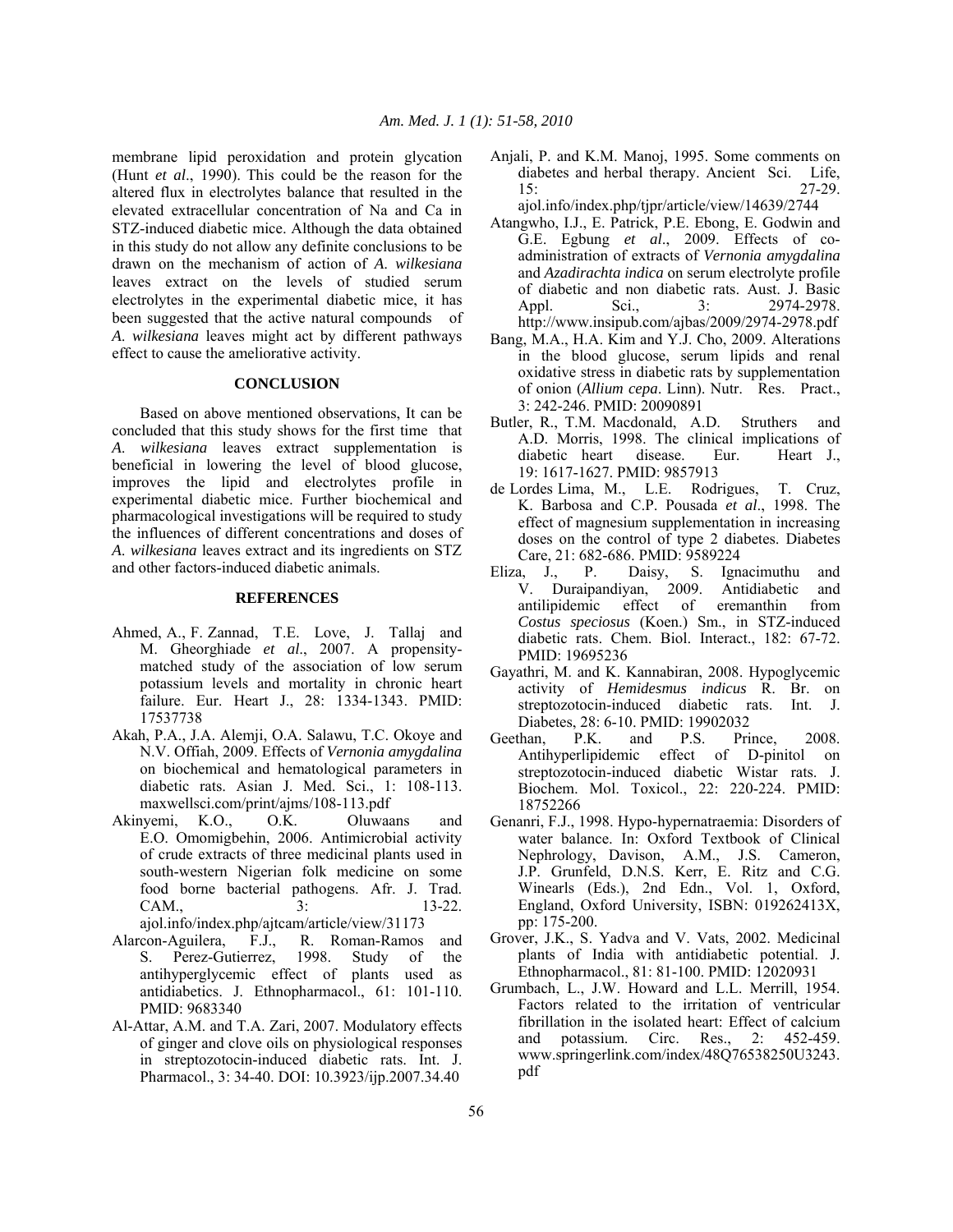membrane lipid peroxidation and protein glycation (Hunt *et al*., 1990). This could be the reason for the altered flux in electrolytes balance that resulted in the elevated extracellular concentration of Na and Ca in STZ-induced diabetic mice. Although the data obtained in this study do not allow any definite conclusions to be drawn on the mechanism of action of *A*. *wilkesiana* leaves extract on the levels of studied serum electrolytes in the experimental diabetic mice, it has been suggested that the active natural compounds of *A*. *wilkesiana* leaves might act by different pathways effect to cause the ameliorative activity.

## **CONCLUSION**

 Based on above mentioned observations, It can be concluded that this study shows for the first time that *A*. *wilkesiana* leaves extract supplementation is beneficial in lowering the level of blood glucose, improves the lipid and electrolytes profile in experimental diabetic mice. Further biochemical and pharmacological investigations will be required to study the influences of different concentrations and doses of *A*. *wilkesiana* leaves extract and its ingredients on STZ and other factors-induced diabetic animals.

#### **REFERENCES**

- Ahmed, A., F. Zannad, T.E. Love, J. Tallaj and M. Gheorghiade *et al*., 2007. A propensitymatched study of the association of low serum potassium levels and mortality in chronic heart failure. Eur. Heart J., 28: 1334-1343. PMID: 17537738
- Akah, P.A., J.A. Alemji, O.A. Salawu, T.C. Okoye and N.V. Offiah, 2009. Effects of *Vernonia amygdalina*  on biochemical and hematological parameters in diabetic rats. Asian J. Med. Sci., 1: 108-113. maxwellsci.com/print/ajms/108-113.pdf
- Akinyemi, K.O., O.K. Oluwaans and E.O. Omomigbehin, 2006. Antimicrobial activity of crude extracts of three medicinal plants used in south-western Nigerian folk medicine on some food borne bacterial pathogens. Afr. J. Trad. CAM., 3: 13-22. ajol.info/index.php/ajtcam/article/view/31173
- Alarcon-Aguilera, F.J., R. Roman-Ramos and S. Perez-Gutierrez, 1998. Study of the antihyperglycemic effect of plants used as antidiabetics. J. Ethnopharmacol., 61: 101-110. PMID: 9683340
- Al-Attar, A.M. and T.A. Zari, 2007. Modulatory effects of ginger and clove oils on physiological responses in streptozotocin-induced diabetic rats. Int. J. Pharmacol., 3: 34-40. DOI: 10.3923/ijp.2007.34.40
- Anjali, P. and K.M. Manoj, 1995. Some comments on diabetes and herbal therapy. Ancient Sci. Life, 15: 27-29.
	- ajol.info/index.php/tjpr/article/view/14639/2744
- Atangwho, I.J., E. Patrick, P.E. Ebong, E. Godwin and G.E. Egbung *et al*., 2009. Effects of coadministration of extracts of *Vernonia amygdalina*  and *Azadirachta indica* on serum electrolyte profile of diabetic and non diabetic rats. Aust. J. Basic Appl. Sci., 3: 2974-2978. http://www.insipub.com/ajbas/2009/2974-2978.pdf
- Bang, M.A., H.A. Kim and Y.J. Cho, 2009. Alterations in the blood glucose, serum lipids and renal oxidative stress in diabetic rats by supplementation of onion (*Allium cepa*. Linn). Nutr. Res. Pract., 3: 242-246. PMID: 20090891
- Butler, R., T.M. Macdonald, A.D. Struthers and A.D. Morris, 1998. The clinical implications of diabetic heart disease. Eur. Heart J., 19: 1617-1627. PMID: 9857913
- de Lordes Lima, M., L.E. Rodrigues, T. Cruz, K. Barbosa and C.P. Pousada *et al*., 1998. The effect of magnesium supplementation in increasing doses on the control of type 2 diabetes. Diabetes Care, 21: 682-686. PMID: 9589224
- Eliza, J., P. Daisy, S. Ignacimuthu and V. Duraipandiyan, 2009. Antidiabetic and antilipidemic effect of eremanthin from *Costus speciosus* (Koen.) Sm., in STZ-induced diabetic rats. Chem. Biol. Interact., 182: 67-72. PMID: 19695236
- Gayathri, M. and K. Kannabiran, 2008. Hypoglycemic activity of *Hemidesmus indicus* R. Br. on streptozotocin-induced diabetic rats. Int. J. Diabetes, 28: 6-10. PMID: 19902032
- Geethan, P.K. and P.S. Prince, 2008. Antihyperlipidemic effect of D-pinitol on streptozotocin-induced diabetic Wistar rats. J. Biochem. Mol. Toxicol., 22: 220-224. PMID: 18752266
- Genanri, F.J., 1998. Hypo-hypernatraemia: Disorders of water balance. In: Oxford Textbook of Clinical Nephrology, Davison, A.M., J.S. Cameron, J.P. Grunfeld, D.N.S. Kerr, E. Ritz and C.G. Winearls (Eds.), 2nd Edn., Vol. 1, Oxford, England, Oxford University, ISBN: 019262413X, pp: 175-200.
- Grover, J.K., S. Yadva and V. Vats, 2002. Medicinal plants of India with antidiabetic potential. J. Ethnopharmacol., 81: 81-100. PMID: 12020931
- Grumbach, L., J.W. Howard and L.L. Merrill, 1954. Factors related to the irritation of ventricular fibrillation in the isolated heart: Effect of calcium and potassium. Circ. Res., 2: 452-459. www.springerlink.com/index/48Q76538250U3243. pdf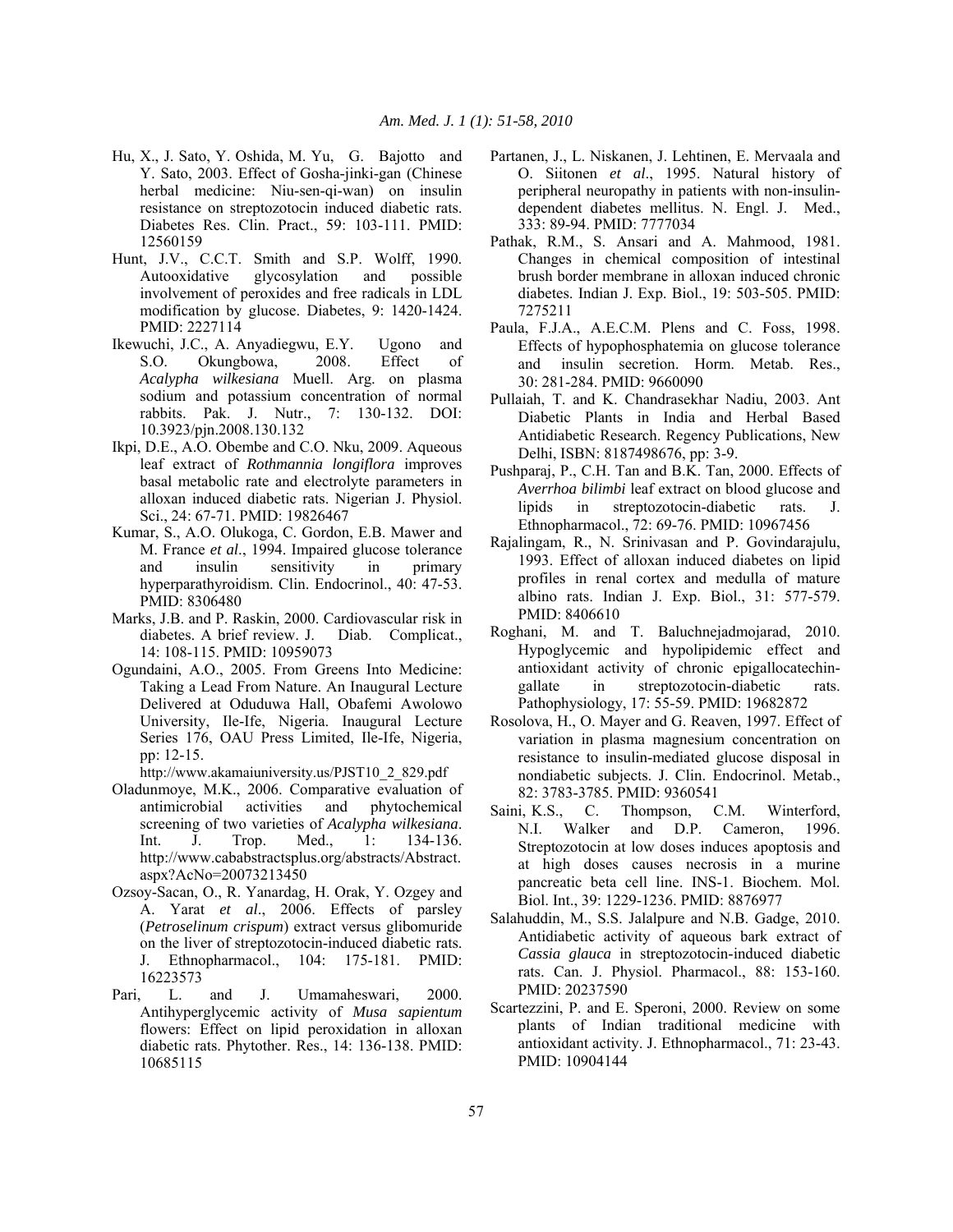- Hu, X., J. Sato, Y. Oshida, M. Yu, G. Bajotto and Y. Sato, 2003. Effect of Gosha-jinki-gan (Chinese herbal medicine: Niu-sen-qi-wan) on insulin resistance on streptozotocin induced diabetic rats. Diabetes Res. Clin. Pract., 59: 103-111. PMID: 12560159
- Hunt, J.V., C.C.T. Smith and S.P. Wolff, 1990. Autooxidative glycosylation and possible involvement of peroxides and free radicals in LDL modification by glucose. Diabetes, 9: 1420-1424. PMID: 2227114
- Ikewuchi, J.C., A. Anyadiegwu, E.Y. Ugono and S.O. Okungbowa, 2008. Effect of *Acalypha wilkesiana* Muell. Arg. on plasma sodium and potassium concentration of normal rabbits. Pak. J. Nutr., 7: 130-132. DOI: 10.3923/pjn.2008.130.132
- Ikpi, D.E., A.O. Obembe and C.O. Nku, 2009. Aqueous leaf extract of *Rothmannia longiflora* improves basal metabolic rate and electrolyte parameters in alloxan induced diabetic rats. Nigerian J. Physiol. Sci., 24: 67-71. PMID: 19826467
- Kumar, S., A.O. Olukoga, C. Gordon, E.B. Mawer and M. France *et al*., 1994. Impaired glucose tolerance and insulin sensitivity in primary hyperparathyroidism. Clin. Endocrinol., 40: 47-53. PMID: 8306480
- Marks, J.B. and P. Raskin, 2000. Cardiovascular risk in diabetes. A brief review. J. Diab. Complicat., 14: 108-115. PMID: 10959073
- Ogundaini, A.O., 2005. From Greens Into Medicine: Taking a Lead From Nature. An Inaugural Lecture Delivered at Oduduwa Hall, Obafemi Awolowo University, Ile-Ife, Nigeria. Inaugural Lecture Series 176, OAU Press Limited, Ile-Ife, Nigeria, pp: 12-15.

http://www.akamaiuniversity.us/PJST10\_2\_829.pdf

- Oladunmoye, M.K., 2006. Comparative evaluation of antimicrobial activities and phytochemical screening of two varieties of *Acalypha wilkesiana*. Int. J. Trop. Med., 1: 134-136. http://www.cababstractsplus.org/abstracts/Abstract. aspx?AcNo=20073213450
- Ozsoy-Sacan, O., R. Yanardag, H. Orak, Y. Ozgey and A. Yarat *et al*., 2006. Effects of parsley (*Petroselinum crispum*) extract versus glibomuride on the liver of streptozotocin-induced diabetic rats. J. Ethnopharmacol., 104: 175-181. PMID: 16223573
- Pari, L. and J. Umamaheswari, 2000. Antihyperglycemic activity of *Musa sapientum* flowers: Effect on lipid peroxidation in alloxan diabetic rats. Phytother. Res., 14: 136-138. PMID: 10685115
- Partanen, J., L. Niskanen, J. Lehtinen, E. Mervaala and O. Siitonen *et al*., 1995. Natural history of peripheral neuropathy in patients with non-insulindependent diabetes mellitus. N. Engl. J. Med., 333: 89-94. PMID: 7777034
- Pathak, R.M., S. Ansari and A. Mahmood, 1981. Changes in chemical composition of intestinal brush border membrane in alloxan induced chronic diabetes. Indian J. Exp. Biol., 19: 503-505. PMID: 7275211
- Paula, F.J.A., A.E.C.M. Plens and C. Foss, 1998. Effects of hypophosphatemia on glucose tolerance and insulin secretion. Horm. Metab. Res., 30: 281-284. PMID: 9660090
- Pullaiah, T. and K. Chandrasekhar Nadiu, 2003. Ant Diabetic Plants in India and Herbal Based Antidiabetic Research. Regency Publications, New Delhi, ISBN: 8187498676, pp: 3-9.
- Pushparaj, P., C.H. Tan and B.K. Tan, 2000. Effects of *Averrhoa bilimbi* leaf extract on blood glucose and lipids in streptozotocin-diabetic rats. J. Ethnopharmacol., 72: 69-76. PMID: 10967456
- Rajalingam, R., N. Srinivasan and P. Govindarajulu, 1993. Effect of alloxan induced diabetes on lipid profiles in renal cortex and medulla of mature albino rats. Indian J. Exp. Biol., 31: 577-579. PMID: 8406610
- Roghani, M. and T. Baluchnejadmojarad, 2010. Hypoglycemic and hypolipidemic effect and antioxidant activity of chronic epigallocatechingallate in streptozotocin-diabetic rats. Pathophysiology, 17: 55-59. PMID: 19682872
- Rosolova, H., O. Mayer and G. Reaven, 1997. Effect of variation in plasma magnesium concentration on resistance to insulin-mediated glucose disposal in nondiabetic subjects. J. Clin. Endocrinol. Metab., 82: 3783-3785. PMID: 9360541
- Saini, K.S., C. Thompson, C.M. Winterford, N.I. Walker and D.P. Cameron, 1996. Streptozotocin at low doses induces apoptosis and at high doses causes necrosis in a murine pancreatic beta cell line. INS-1. Biochem. Mol. Biol. Int., 39: 1229-1236. PMID: 8876977
- Salahuddin, M., S.S. Jalalpure and N.B. Gadge, 2010. Antidiabetic activity of aqueous bark extract of *Cassia glauca* in streptozotocin-induced diabetic rats. Can. J. Physiol. Pharmacol., 88: 153-160. PMID: 20237590
- Scartezzini, P. and E. Speroni, 2000. Review on some plants of Indian traditional medicine with antioxidant activity. J. Ethnopharmacol., 71: 23-43. PMID: 10904144